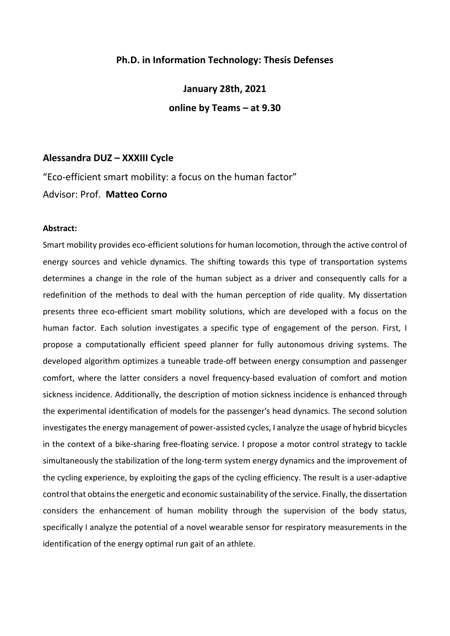## **Ph.D. in Information Technology: Thesis Defenses**

**January 28th, 2021 online by Teams – at 9.30**

# **Alessandra DUZ – XXXIII Cycle**

"Eco-efficient smart mobility: a focus on the human factor" Advisor: Prof. **Matteo Corno**

#### **Abstract:**

Smart mobility provides eco-efficient solutions for human locomotion, through the active control of energy sources and vehicle dynamics. The shifting towards this type of transportation systems determines a change in the role of the human subject as a driver and consequently calls for a redefinition of the methods to deal with the human perception of ride quality. My dissertation presents three eco-efficient smart mobility solutions, which are developed with a focus on the human factor. Each solution investigates a specific type of engagement of the person. First, I propose a computationally efficient speed planner for fully autonomous driving systems. The developed algorithm optimizes a tuneable trade-off between energy consumption and passenger comfort, where the latter considers a novel frequency-based evaluation of comfort and motion sickness incidence. Additionally, the description of motion sickness incidence is enhanced through the experimental identification of models for the passenger's head dynamics. The second solution investigates the energy management of power-assisted cycles, I analyze the usage of hybrid bicycles in the context of a bike-sharing free-floating service. I propose a motor control strategy to tackle simultaneously the stabilization of the long-term system energy dynamics and the improvement of the cycling experience, by exploiting the gaps of the cycling efficiency. The result is a user-adaptive control that obtains the energetic and economic sustainability of the service. Finally, the dissertation considers the enhancement of human mobility through the supervision of the body status, specifically I analyze the potential of a novel wearable sensor for respiratory measurements in the identification of the energy optimal run gait of an athlete.